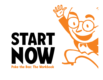

Poke the Box: The Workbook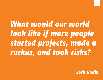*What would our world look like if more people started projects, made a ruckus, and took risks?*

*Seth Godin*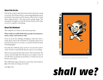#### **About** *Poke the Box*

*Poke the Box* is Seth Godin's latest book and the first book coming to you from The Domino Project, a pioneering publishing venture launched by Seth and powered by Amazon. *Poke the Box* is a book about taking initiative, a first step toward creating change. This study guide is brought to you by The Domino Project and we hope you use it as a guide to start poking.

#### **About This Workbook**

This workbook was written to ask one basic question:

#### What would our world look like if more people started projects, made a ruckus, and took more risks?

If you are up for the challenge of helping us make that vision a reality, please read on. Be warned that we are going to push you to go beyond the point of no return, to commit yourself and make something happen.

If you like this workbook, please send it to everyone who needs to read it. Feel free to email this file directly or post it on your blog.

There are more questions here than answers. That's intentional. The answers come from you. This will require you to explore corners of your life where you hesitate, procrastinate, or weasel your way out because you're afraid.

We've filled these pages with quotes, action items, and excerpts to light a fire under you and get you started.



[Click the cover to learn more about](http://www.amazon.com/Poke-Box-Seth-Godin/dp/1936719002/ref=amb_link_355234762_2?pf_rd_m=ATVPDKIKX0DER&pf_rd_s=center-2&pf_rd_r=1YQC7RQSDG5JPYVTBM5H&pf_rd_t=1401&pf_rd_p=1287619262&pf_rd_i=1000653261) *Poke the Box*.

# Let's light a fire...<br>**shall** we?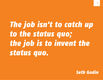# *The job isn't to catch up to the status quo; the job is to invent the status quo.*

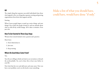#### **GO**

The simple thing that separates successful individuals from those who languish is the very thing that separates exciting and growing organizations from those that stagnate and die.

#### Starting.

What if more people began to speak up, notice things, and start things? Our world, the people around us, and our attitude about what we did all day would change. All it takes is initiative. Even just a bit.

#### **How To Get Started In Three Easy Steps**

Winners have turned initiative into a passion and a practice.

Here's how:

1. Don't think about it.

2. Just start.

3. Keep starting.

#### **Where Do Good Ideas Come From?**

You.

You who are willing to think out loud, to act on instinct, to broach the un-broachable. Yes, you've done this at least once before in your life.

Now look that list over and add more and some more. Now you have a new problem: you're on the hook to start something.

### Make a list of what you should have, could have, would have done "if only."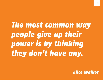# *The most common way people give up their power is by thinking they don't have any.*

*Alice Walker*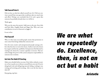#### **Talk Yourself Into It**

Did you have an idea but talked yourself out of it? Did you convince yourself that your great idea would just take too much time and effort? Perhaps you concluded that if it's such a great idea someone has probably already done it or will do it.

Think again.

Why not the more the merrier? Add yours to the mix. Steve Jobs *and* Paul Allen. Dogfish Head *and* Magic Hat. Why can't your contribution sit next to Emerson's or Jagger's?

It can, in fact.

#### **Pick Yourself**

Why is it that many successful people assume that permission to start comes from being validated by someone else?

Even the most creative and entrepreneurial people among us believe that they have to wait to be chosen. Authors wait to be chosen by an agent and then by a publisher. Entrepreneurs find themselves waiting to be chosen by a venture capitalist or investor. 'Pick me' acknowledges the power of the system and passes responsibility to someone else to initiate.

#### **Get Into The Habit Of Starting**

Make your schedule before you start. Don't allow setbacks or anxiety or fear to push you to distract yourself from your task. If you're doing hard work and still getting rejected, failing, working it out, writing and rewriting and rewriting—this is not the best time to slack off.

Keep going, nap later.

## *We are what we repeatedly do. Excellence, then, is not an act but a habit*

*Aristotle*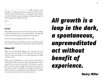Choose one thing you could start today. Make it simple—make file folders—or make it grand: write a proposal to Delta airlines to eliminate the Styrofoam cups they use and replace them with the recycled cardboard cups you are going to develop and design with advertising space for additional revenue.

Got it?

Ok, now do it.

#### **Let's Go**

What differentiates us from every other creature is that we willingly and frequently go places we've not gone before. We approach life open to discovery, surprise, and the risk of exploration.

Here's the scary part: going somewhere new is risky.

Here's the good part: it's usually not as risky as we think it is going to be. In fact, it could be fun and often leads to further adventures.

#### **Risking It All?**

What are you afraid might happen if you took action on your ideas? Do you worry that you will be destroyed? Your reputation ruined? Or like most people are you really afraid that you might actually succeed?

When you try something new or take a risk, you often feel uncomfortable, fearful, and insecure about making mistakes. That is natural, but it's not natural to stop here. Most times we stop here. But if we continue, there's a (high) chance that we'll overcome our fear and get to a place of confidence, knowledge and a faith in our abilities. And there is nothing wrong with making a few mistakes –or many. In fact, that's how we learn what not to do.

## *All growth is a leap in the dark, a spontaneous, unpremeditated act without benefit of experience.*

*Henry Miller*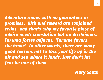*Adventure comes with no guarantees or promises. Risk and reward are conjoined twins—and that's why my favorite piece of advice needs translation but no disclaimers: Fortuna fortes adjuvat. 'Fortune favors the brave'. In other words, there are many good reasons not to toss your life up in the air and see where it lands. Just don't let* 

*fear be one of them.*

*Mary South*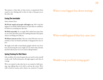The journey is what takes us from novice to experienced, from scared to wise. Sticking with it when it's risky is what gets you to the other side.

#### **Facing The Inevitable**

Some common fears:

We'll look stupid and people will laugh at us. We've had this happen to us and the embarrassment was more than we could bear. It's hard to try anything new after that.

We'll fail, miserably. Yes, we might. We've failed more times than we can count, but unless you're free climbing Yosemite's El Capitan chances are failing won't kill you.

We'll hurt someone we love. This one is hard. We don't want our mistakes to hurt our friends and family or disappoint the ones we love.

We might not be able to immediately grapple with the root of our fears, but knowing the source might sort out what's risky and what just feels risky because we're not used to taking initiative.

#### **Spring Training For Risk Takers**

Like an athlete who trains for game day, you need to train yourself to take a risk. You'll need practice, the right support, and a dose of courage.

We're not trained to take risks, but we are trained to hold meetings, stop talking when we're told to, and stay the course. We're told to look for security and to silence our creativity if it speaks

### What is your biggest fear about starting?

### What would happen if that fear came true?

### Would it stop you from trying again?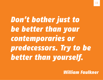*Don't bother just to be better than your contemporaries or predecessors. Try to be better than yourself.*

*William Faulkner*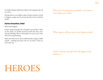too loudly. Initiative hides from cultures and companies that ask us to fit in.

Starting thrives on our ability to play, to humor ourselves, to look at things in a unique way. It's not easy, but that's why it's worth the trouble.

#### **Starters Everywhere, Unite!**

Starters need support.

Is there a group of people who will support your initiative? These are the people you should surround yourself with when you're starting something. These are the people you want in your corner when you're experimenting.

Make a list of these heros. These could be friends, strangers, stuffed animals – anything and anyone who you can look to when you want to give up.

What type of training do you think is necessary to start things more often?

What support will you need as you begin to poke?

Is there a group of people who will support your initiative?

# **HEROES**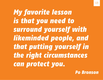*My favorite lesson is that you need to surround yourself with likeminded people, and that putting yourself in the right circumstances can protect you.*

*Po Bronson*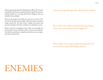Is there a group of people who will derail your efforts? Do you have a friend that criticizes more often than lends a hand? Do you have a family member or a co-worker that's always telling you why you shouldn't do something?

These are the people you should steer clear of as you start. Your new job of starting is hard enough, without having extra negative energy around you. You don't need to explain your project and why you're doing it. Your job is to believe in it and keep on track.

Return to that list of supportive heros, these are the people you want to talk to if you need help or advice with your new initiative. You will also need them to remind you that they are more important than your detractors.

#### Is there a group of people who will derail your efforts?

How will you be resilient and keep up your poking when your environment doesn't support it?

What will be your weapons against people who tell you to lay low and avoid taking a chance?

# ENEMIES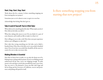#### **Start. Stop. Start. Stop. Start**

Think about this for a minute: Is there something stopping you from starting that new project?

Sometimes just as we're about to start, we give in to our fear.

Acknowledge that feeling. But don't give in.

#### **Take A Look At Yourself: You're A Risk Taker**

When did you do something that felt risky? What made you do it? How did you feel after you did it?

What does taking risks mean to you? Do you think it's a part of your character, and would you like to make it so that it is?

How willing are you to take a risk? How does your past experience inform your willingness to take risks?

How risky does trying something new feel after you've failed a hundred times? How does it feel after you've succeeded a hundred times? Even if you have succeeded that should be all the more incentive for you to take even more risks.

#### **Making Mistakes Is Essential**

Now that we know how to poke, we can take the drama out of it. Poking means seeking embarrassment. If you're not flailing around embarrassed all the time, you're not shipping enough. To poke means to do and ship so much that mortified becomes your norm. Yep, you crave it. You demand it. Soon, just like Lady Gaga and Steven King and the Governor of California, success and persistence and poking will speak for itself.

Is there something stopping you from starting that new project?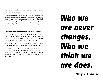Every innovation and accomplishment in our world started out with a long list of failures.

Mistakes are a part and parcel of poking. You have to experiment, and that means putting yourself out there, seeing what happens, taking a chance at not knowing what the outcome will be. Risk failing. In our acceptance that we'll fail, once or twice, maybe twenty times, we'll get to a place where failing is natural, and we accept it as so. Once we do this, we're more powerful and increase the chance of an eventual success.

#### **Ever Been Called A Failure? You're In Good Company**

In *Poke the Box*, there's a list of famous people who failed many times, including Harlan Ellison, Steve Carrell, Oprah Winfrey, Richard Wright, Mark Cuban, Mehmet Oz, George Orwell, Michael Bloomberg, Nan Talese, and it goes on and on.

You don't need to be famous to fail, but it's nice to know that even the most successful among us started out probably right here.

Did that list surprise you? Wouldn't you like to be included? It takes guts to constantly and consistently fail, and that's what it takes to be the Walt Disney's and Gloria Steinem's of the world. A long list of failures, a large dose of resilience, and the ability to keep starting.

# *Who we are never changes. Who we think we are does.*

*Mary S. Almanac*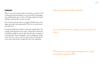#### **Celebrate!**

When we succeed, we pat ourselves on the back, yet when we fail we often get frustrated and grow ever more fearful of trying again. Can celebrating the guts it took to fail help combat the normal stuff that comes up when we don't succeed?

Do you know someone who has a long list of failures who is now happy personally and professionally? Why do you think they're successful now?

Certainly making some mistakes is easier than making others. For example, those that don't cost us much—financially or emotionally. Similarly it might be easier to take risks when the consequences reveal themselves more immediately—such as telling your mother in law that she is a lousy cook. For others, when the distance between action and outcome is longer the risk is more appealing.

#### What is your favorite failure and why?

Do you feel better about making certain mistakes over others?

What are some of the biggest mistakes you've made, personally or professionally?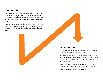#### **I'm No Good At This**

Many of us don't take initiative because we're afraid we'll do it wrong, which is natural. When we encounter something new, it's our nature to want to be great right away. For many of us it is very, very hard to not know what we're doing or where exactly we are going.

The great thing about poking the box is that the only way to get better is with practice. Be curious. Try, try again. Learn from your mistakes. Be patient. One day you'll be a pro. Until then, start again.

#### **Let's Get Good At This**

Start initiating things—projects, outings, ways to make your office better—without waiting to be told to do so.

Start writing the proposal for your book without thinking about an agent. Start cooking eggs even if you can't make them runny like the kids want. Listen to your dad more even though he probably won't notice you're listening.

Poking the box is all about initiating change, both large and small (hint: starting small is easier and often leads to big successes).

To poke is to push yourself to start. Anything.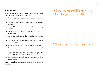#### **Where Do I Start?**

Is there an area of your life that needs poking? Can you make things better for you and those around you?

- If you never pick the restaurant, can you make reservations next time?
- Can you be the person in your family who exercises consistently?
- If you're laid back, can you start initiating and planning activities?
- If you wash the dishes every day and someone else cooks, can you switch roles?
- Can you start to solve the problem while other people are still talking about it?
- Can you say your idea at a meeting even though you'll be thought as strange?
- Can you apply for the job that you think is out of your reach?
- Can you propose that you work from home two days a week because the office noise is too distracting?
- Can you start on the project because you think it's a good idea even if you don't have buy-in from your boss?
- Can you organize the family reunion even though it will be stressful to do so?

Once we learn how to take initiative we see opportunities all around us.

### What are some small things you've taken charge of in your life?

### What compelled you to finally start?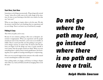#### **Start Here, Start Now**

Sometimes we do things unconsciously. We go along with societal "norms" when all we really want to do is take charge of the situation. It's time to start listening to that little voice inside of us that says "start now!"

When we start things we inspire others to do the same. We take the mystery (and the fear) out of poking when we experiment and try new things. There is no better way to lead than by example.

#### **Poking Is Crazy**

Thus when you poke, you're crazy.

Because it's not common, poking is often seen as disruptive, abnormal or inappropriate. When you experiment and the people around you want to do so but don't, you're seen as an outsider, an infidel. They're scared (just like you) but poking is your game you're doing it anyway, no matter what. It's hard at first but the more you begin to do the things you want, to push yourself, it won't matter what the people around you think. When you start something there is almost always instant gratification. Just knowing that you're capable of creating something new is empowering.

Have you ever received support from someone who really wanted to start something but couldn't do it alone?

Once poking makes you happy, you'll keep on doing it despite what others say. And you'll find yourself encouraging others to do the same.

## *Do not go where the path may lead, go instead where there is no path and leave a trail.*

*Ralph Waldo Emerson*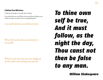#### **Celebrate Your Milestones**

Celebrate the progress you make after starting.

List small milestones you'd like to honor and then really give yourself the attention you deserve for accomplishing them.

List small milestones you'd like to honor

What will you do when your initiative is successful?

When was the last time you were delighted by the results of something you started?

## *To thine own self be true, And it must follow, as the night the day, Thou canst not then be false to any man.*

*William Shakespeare*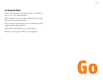#### **Go. Change The World**

If you were invited to give "the talk of your life" as TED talks invite us to do—what would it be about?

What would you want to teach others? What would you personally want to learn from the experience?

If you were given the opportunity to start something that could change the world, what would it be?

What will the world look like once you take initiative?

Why are you waiting to start? What are you waiting for?